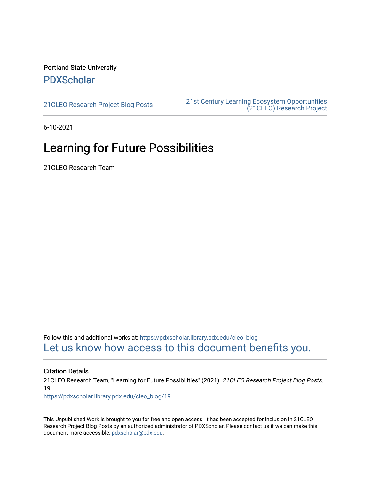#### Portland State University [PDXScholar](https://pdxscholar.library.pdx.edu/)

[21CLEO Research Project Blog Posts](https://pdxscholar.library.pdx.edu/cleo_blog) [21st Century Learning Ecosystem Opportunities](https://pdxscholar.library.pdx.edu/cleo)  [\(21CLEO\) Research Project](https://pdxscholar.library.pdx.edu/cleo) 

6-10-2021

## Learning for Future Possibilities

21CLEO Research Team

Follow this and additional works at: [https://pdxscholar.library.pdx.edu/cleo\\_blog](https://pdxscholar.library.pdx.edu/cleo_blog?utm_source=pdxscholar.library.pdx.edu%2Fcleo_blog%2F19&utm_medium=PDF&utm_campaign=PDFCoverPages)  [Let us know how access to this document benefits you.](http://library.pdx.edu/services/pdxscholar-services/pdxscholar-feedback/?ref=https://pdxscholar.library.pdx.edu/cleo_blog/19) 

#### Citation Details

21CLEO Research Team, "Learning for Future Possibilities" (2021). 21CLEO Research Project Blog Posts. 19.

[https://pdxscholar.library.pdx.edu/cleo\\_blog/19](https://pdxscholar.library.pdx.edu/cleo_blog/19?utm_source=pdxscholar.library.pdx.edu%2Fcleo_blog%2F19&utm_medium=PDF&utm_campaign=PDFCoverPages)

This Unpublished Work is brought to you for free and open access. It has been accepted for inclusion in 21CLEO Research Project Blog Posts by an authorized administrator of PDXScholar. Please contact us if we can make this document more accessible: [pdxscholar@pdx.edu.](mailto:pdxscholar@pdx.edu)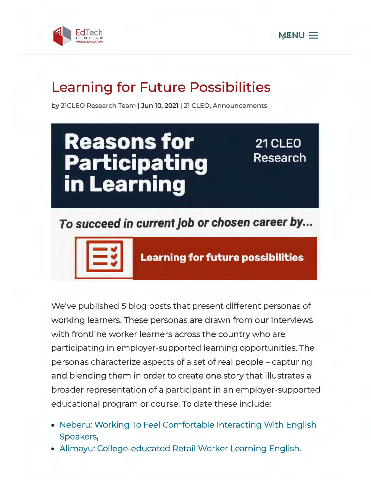



# **Learning for Future Possibilities**

by 21CLEO Research Team | Jun 10, 2021 | 21 CLEO, Announcements



## **To succeed in current job or chosen career by...**



**Learning for future possibilities** 

We've published 5 blog posts that present different personas of working learners. These personas are drawn from our interviews with frontline worker learners across the country who are participating in employer-supported learning opportunities. The personas characterize aspects of a set of real people - capturing and blending them in order to create one story that illustrates a broader representation of a participant in an employer-supported educational program or course. To date these include:

- Neberu: Working To Feel Comfortable Interacting With English Speakers,
- Alimayu: College-educated Retail Worker Learning English.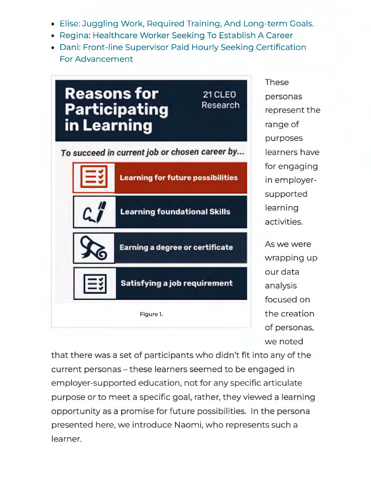- Elise: Juggling Work, Required Training, And Long-term Goals.
- Regina: Healthcare Worker Seeking To Establish A Career
- Dani: Front-line Supervisor Paid Hourly Seeking Certification For Advancement



These personas represent the range of purposes learners have for engaging in employersupported learning activities.

As we were wrapping up our data analysis focused on the creation of personas, we noted

that there was a set of participants who didn't fit into any of the current personas - these learners seemed to be engaged in employer-supported education, not for any specific articulate purpose or to meet a specific goal, rather, they viewed a learning opportunity as a promise for future possibilities. In the persona presented here, we introduce Naomi, who represents such a learner.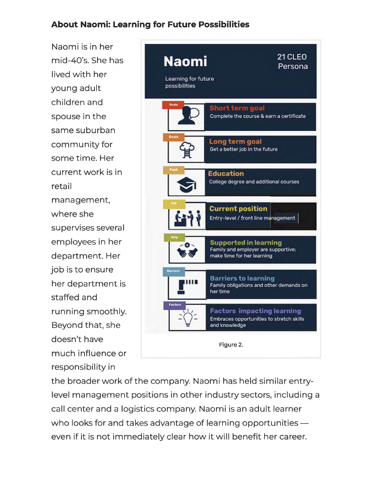### **About Naomi: Learning for Future Possibilities**

Naomi is in her mid-40's. She has lived with her young adult children and spouse in the same suburban community for some time. Her current work is in retail management, where she supervises several employees in her department. Her job is to ensure her department is staffed and running smoothly. Beyond that, she doesn't have much influence or responsibility in



the broader work of the company. Naomi has held similar entrylevel management positions in other industry sectors, including a call center and a logistics company. Naomi is an adult learner who looks for and takes advantage of learning opportunities  $$ even if it is not immediately clear how it will benefit her career.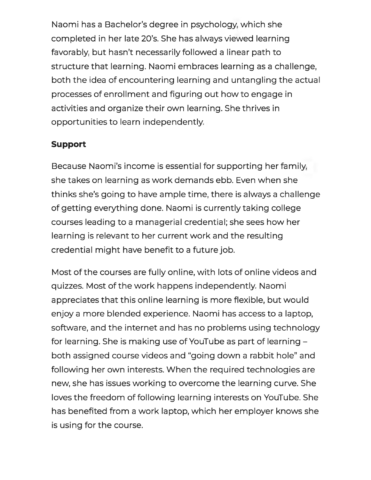Naomi has a Bachelor's degree in psychology, which she completed in her late 20's. She has always viewed learning favorably, but hasn't necessarily followed a linear path to structure that learning. Naomi embraces learning as a challenge, both the idea of encountering learning and untangling the actual processes of enrollment and figuring out how to engage in activities and organize their own learning. She thrives in opportunities to learn independently.

### **Support**

Because Naomi's income is essential for supporting her family, she takes on learning as work demands ebb. Even when she thinks she's going to have ample time, there is always a challenge of getting everything done. Naomi is currently taking college courses leading to a managerial credential; she sees how her learning is relevant to her current work and the resulting credential might have benefit to a future job.

Most of the courses are fully online, with lots of online videos and quizzes. Most of the work happens independently. Naomi appreciates that this online learning is more flexible, but would enjoy a more blended experience. Naomi has access to a laptop, software, and the internet and has no problems using technology for learning. She is making use of YouTube as part of learning both assigned course videos and "going down a rabbit hole" and following her own interests. When the required technologies are new, she has issues working to overcome the learning curve. She loves the freedom of following learning interests on YouTube. She has benefited from a work laptop, which her employer knows she is using for the course.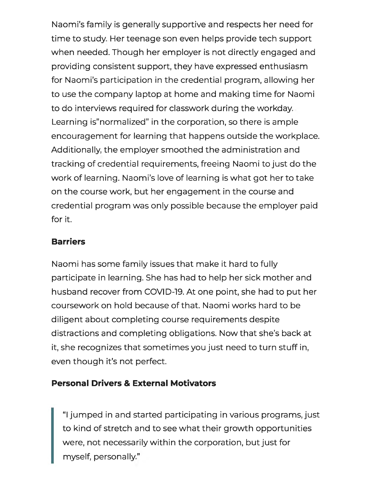Naomi's family is generally supportive and respects her need for time to study. Her teenage son even helps provide tech support when needed. Though her employer is not directly engaged and providing consistent support, they have expressed enthusiasm for Naomi's participation in the credential program, allowing her to use the company laptop at home and making time for Naomi to do interviews required for classwork during the workday. Learning is"normalized" in the corporation, so there is ample encouragement for learning that happens outside the workplace. Additionally, the employer smoothed the administration and tracking of credential requirements, freeing Naomi to just do the work of learning. Naomi's love of learning is what got her to take on the course work, but her engagement in the course and credential program was only possible because the employer paid for it.

### **Barriers**

Naomi has some family issues that make it hard to fully participate in learning. She has had to help her sick mother and husband recover from COVID-19. At one point, she had to put her coursework on hold because of that. Naomi works hard to be diligent about completing course requirements despite distractions and completing obligations. Now that she's back at it, she recognizes that sometimes you just need to turn stuff in, even though it's not perfect.

### **Personal Drivers & External Motivators**

"I jumped in and started participating in various programs, just to kind of stretch and to see what their growth opportunities were, not necessarily within the corporation, but just for myself, personally."